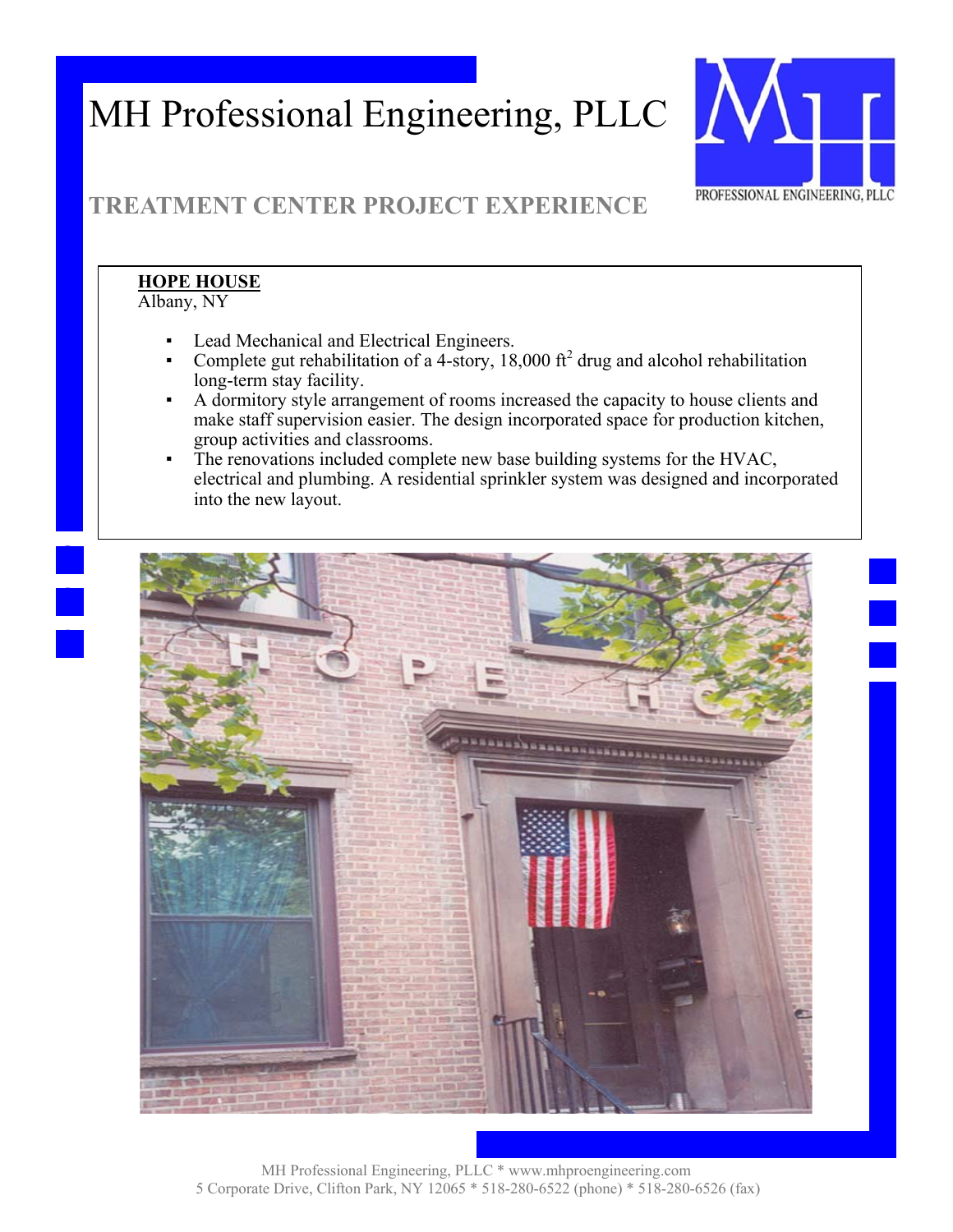

## **TREATMENT CENTER PROJECT EXPERIENCE**

#### **HOPE HOUSE**  Albany, NY

- Lead Mechanical and Electrical Engineers.
- Complete gut rehabilitation of a 4-story, 18,000  $\text{ft}^2$  drug and alcohol rehabilitation long-term stay facility.
- A dormitory style arrangement of rooms increased the capacity to house clients and make staff supervision easier. The design incorporated space for production kitchen, group activities and classrooms.
- The renovations included complete new base building systems for the HVAC, electrical and plumbing. A residential sprinkler system was designed and incorporated into the new layout.

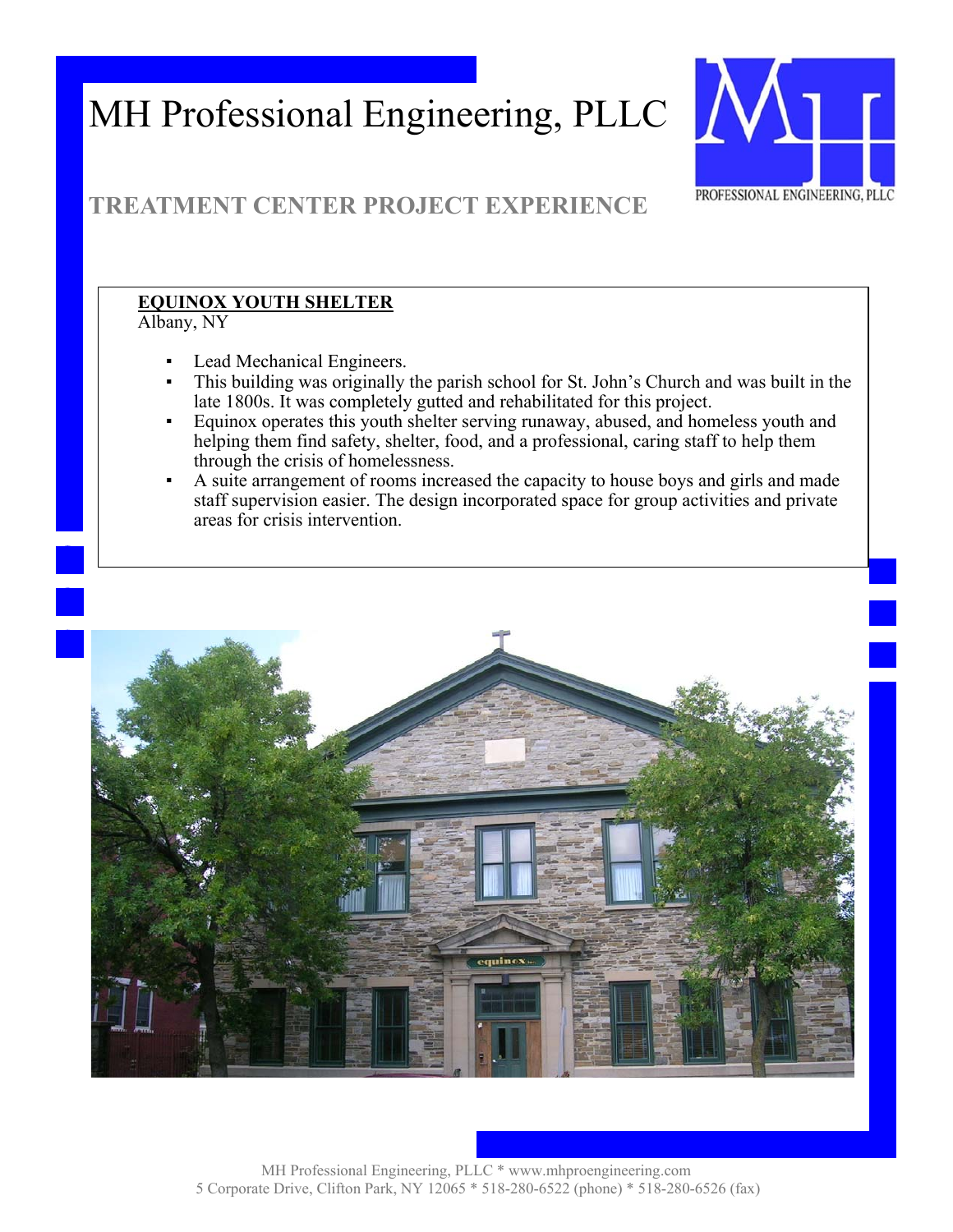

## **TREATMENT CENTER PROJECT EXPERIENCE**

### **EQUINOX YOUTH SHELTER**

Albany, NY

- Lead Mechanical Engineers.
- This building was originally the parish school for St. John's Church and was built in the late 1800s. It was completely gutted and rehabilitated for this project.
- Equinox operates this youth shelter serving runaway, abused, and homeless youth and helping them find safety, shelter, food, and a professional, caring staff to help them through the crisis of homelessness.
- A suite arrangement of rooms increased the capacity to house boys and girls and made staff supervision easier. The design incorporated space for group activities and private areas for crisis intervention.

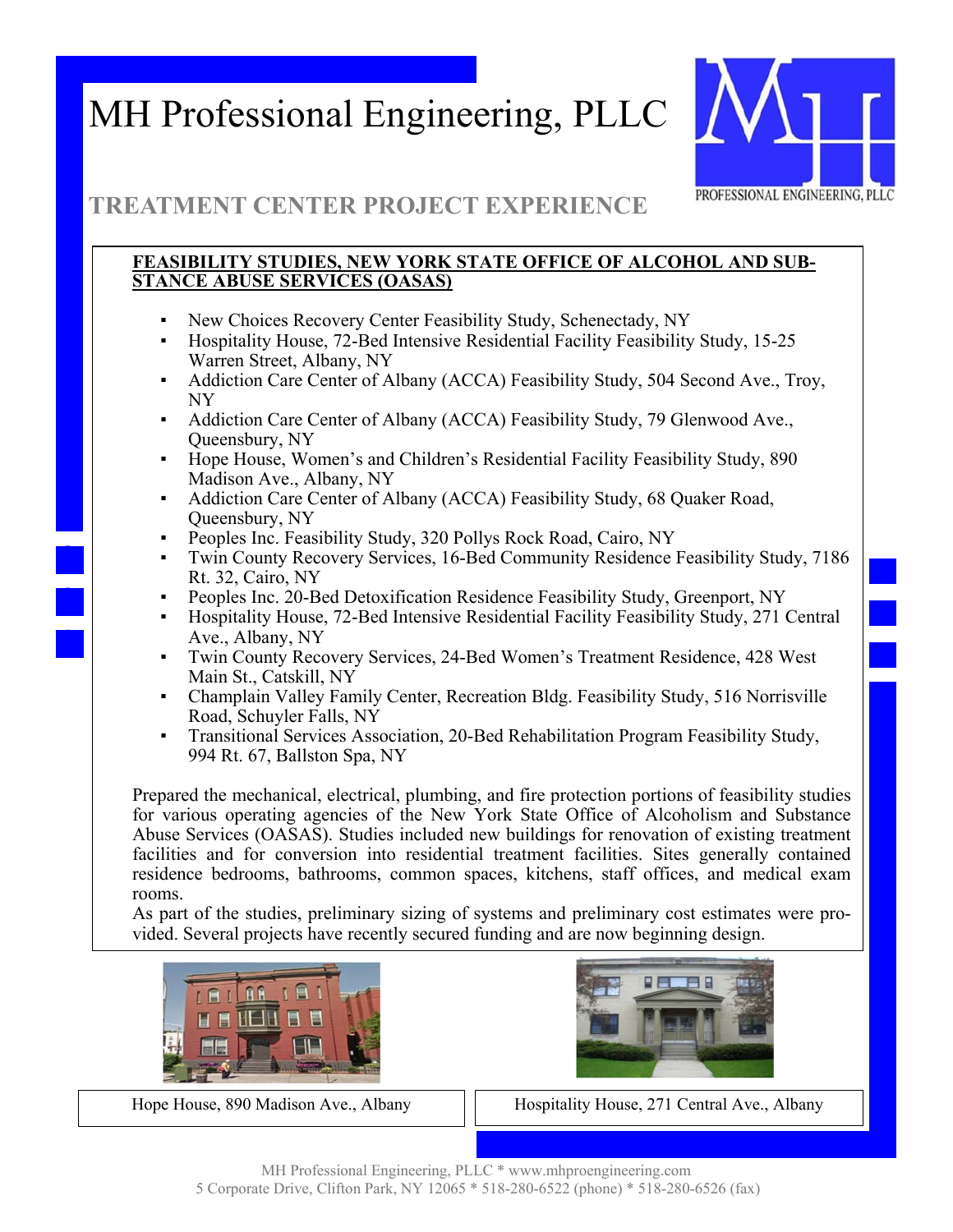

### **TREATMENT CENTER PROJECT EXPERIENCE**

#### **FEASIBILITY STUDIES, NEW YORK STATE OFFICE OF ALCOHOL AND SUB-STANCE ABUSE SERVICES (OASAS)**

- New Choices Recovery Center Feasibility Study, Schenectady, NY
- Hospitality House, 72-Bed Intensive Residential Facility Feasibility Study, 15-25 Warren Street, Albany, NY
- Addiction Care Center of Albany (ACCA) Feasibility Study, 504 Second Ave., Troy, NY
- Addiction Care Center of Albany (ACCA) Feasibility Study, 79 Glenwood Ave., Queensbury, NY
- Hope House, Women's and Children's Residential Facility Feasibility Study, 890 Madison Ave., Albany, NY
- Addiction Care Center of Albany (ACCA) Feasibility Study, 68 Quaker Road, Queensbury, NY
- Peoples Inc. Feasibility Study, 320 Pollys Rock Road, Cairo, NY
- Twin County Recovery Services, 16-Bed Community Residence Feasibility Study, 7186 Rt. 32, Cairo, NY
- Peoples Inc. 20-Bed Detoxification Residence Feasibility Study, Greenport, NY
- Hospitality House, 72-Bed Intensive Residential Facility Feasibility Study, 271 Central Ave., Albany, NY
- Twin County Recovery Services, 24-Bed Women's Treatment Residence, 428 West Main St., Catskill, NY
- Champlain Valley Family Center, Recreation Bldg. Feasibility Study, 516 Norrisville Road, Schuyler Falls, NY
- Transitional Services Association, 20-Bed Rehabilitation Program Feasibility Study, 994 Rt. 67, Ballston Spa, NY

Prepared the mechanical, electrical, plumbing, and fire protection portions of feasibility studies for various operating agencies of the New York State Office of Alcoholism and Substance Abuse Services (OASAS). Studies included new buildings for renovation of existing treatment facilities and for conversion into residential treatment facilities. Sites generally contained residence bedrooms, bathrooms, common spaces, kitchens, staff offices, and medical exam rooms.

As part of the studies, preliminary sizing of systems and preliminary cost estimates were provided. Several projects have recently secured funding and are now beginning design.





Hope House, 890 Madison Ave., Albany Hospitality House, 271 Central Ave., Albany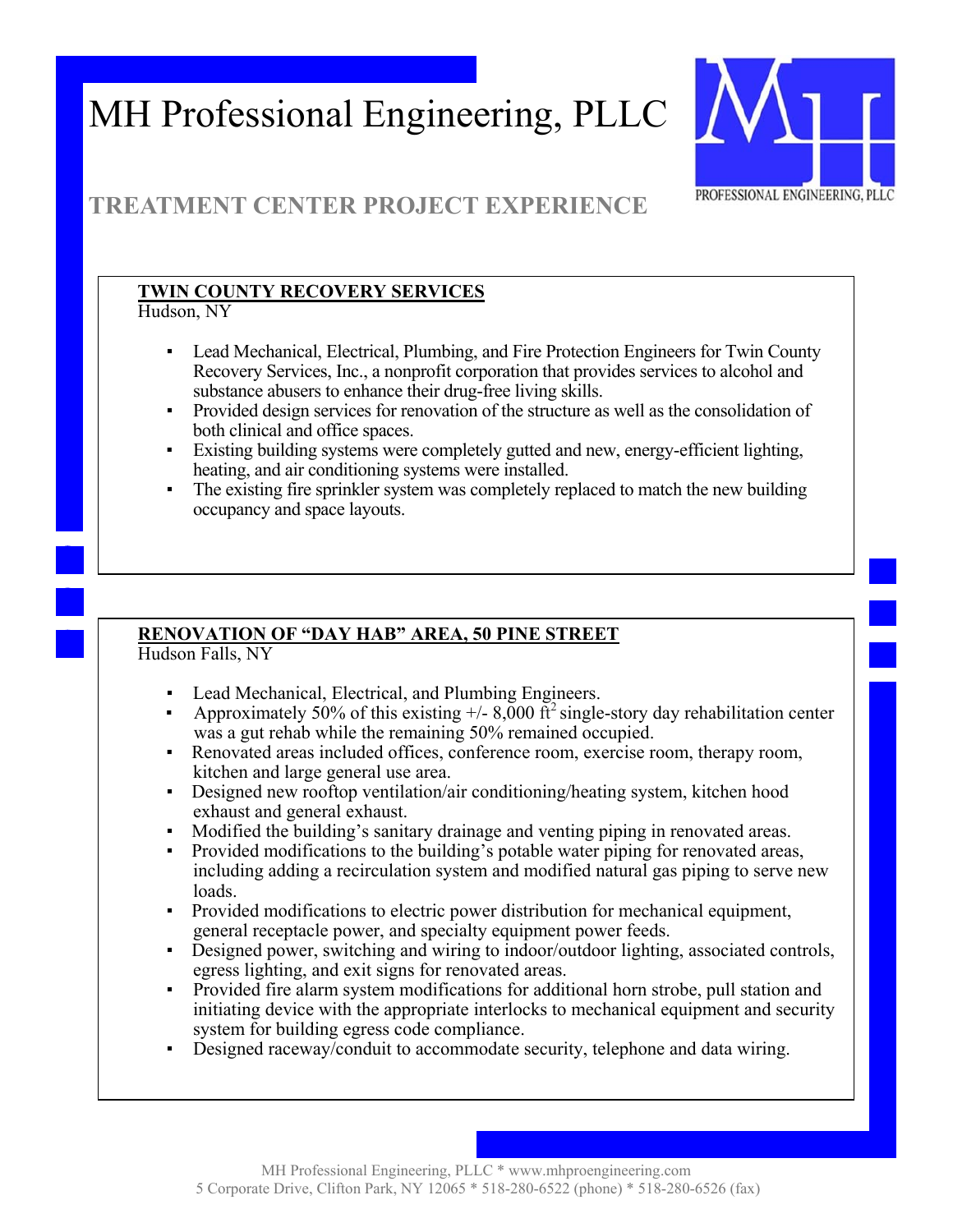

## **TREATMENT CENTER PROJECT EXPERIENCE**

### **TWIN COUNTY RECOVERY SERVICES**

Hudson, NY

- Lead Mechanical, Electrical, Plumbing, and Fire Protection Engineers for Twin County Recovery Services, Inc., a nonprofit corporation that provides services to alcohol and substance abusers to enhance their drug-free living skills.
- Provided design services for renovation of the structure as well as the consolidation of both clinical and office spaces.
- Existing building systems were completely gutted and new, energy-efficient lighting, heating, and air conditioning systems were installed.
- The existing fire sprinkler system was completely replaced to match the new building occupancy and space layouts.

### **RENOVATION OF "DAY HAB" AREA, 50 PINE STREET**

Hudson Falls, NY

- Lead Mechanical, Electrical, and Plumbing Engineers.
- **•** Approximately 50% of this existing  $+/- 8,000$  ft<sup>2</sup> single-story day rehabilitation center was a gut rehab while the remaining 50% remained occupied.
- Renovated areas included offices, conference room, exercise room, therapy room, kitchen and large general use area.
- Designed new rooftop ventilation/air conditioning/heating system, kitchen hood exhaust and general exhaust.
- Modified the building's sanitary drainage and venting piping in renovated areas.
- Provided modifications to the building's potable water piping for renovated areas, including adding a recirculation system and modified natural gas piping to serve new loads.
- Provided modifications to electric power distribution for mechanical equipment, general receptacle power, and specialty equipment power feeds.
- Designed power, switching and wiring to indoor/outdoor lighting, associated controls, egress lighting, and exit signs for renovated areas.
- Provided fire alarm system modifications for additional horn strobe, pull station and initiating device with the appropriate interlocks to mechanical equipment and security system for building egress code compliance.
- Designed raceway/conduit to accommodate security, telephone and data wiring.